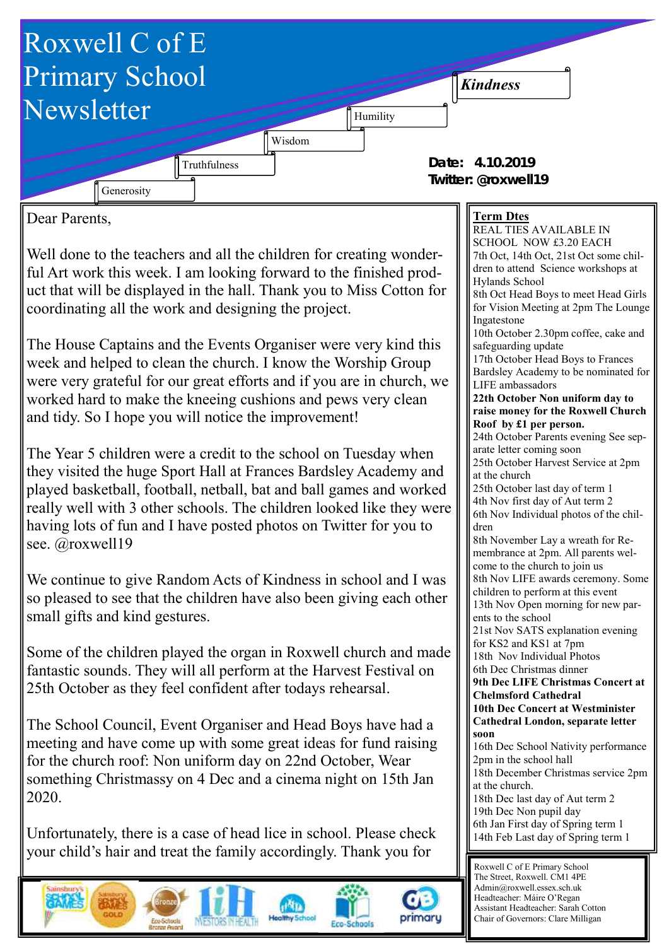

Dear Parents,

Well done to the teachers and all the children for creating wonderful Art work this week. I am looking forward to the finished product that will be displayed in the hall. Thank you to Miss Cotton for coordinating all the work and designing the project.

The House Captains and the Events Organiser were very kind this week and helped to clean the church. I know the Worship Group were very grateful for our great efforts and if you are in church, we worked hard to make the kneeing cushions and pews very clean and tidy. So I hope you will notice the improvement!

The Year 5 children were a credit to the school on Tuesday when they visited the huge Sport Hall at Frances Bardsley Academy and played basketball, football, netball, bat and ball games and worked really well with 3 other schools. The children looked like they were having lots of fun and I have posted photos on Twitter for you to see. @roxwell19

We continue to give Random Acts of Kindness in school and I was so pleased to see that the children have also been giving each other small gifts and kind gestures.

Some of the children played the organ in Roxwell church and made fantastic sounds. They will all perform at the Harvest Festival on 25th October as they feel confident after todays rehearsal.

The School Council, Event Organiser and Head Boys have had a meeting and have come up with some great ideas for fund raising for the church roof: Non uniform day on 22nd October, Wear something Christmassy on 4 Dec and a cinema night on 15th Jan 2020.

Unfortunately, there is a case of head lice in school. Please check your child's hair and treat the family accordingly. Thank you for









## **Term Dtes**

REAL TIES AVAILABLE IN SCHOOL NOW £3.20 EACH 7th Oct, 14th Oct, 21st Oct some children to attend Science workshops at Hylands School 8th Oct Head Boys to meet Head Girls for Vision Meeting at 2pm The Lounge Ingatestone 10th October 2.30pm coffee, cake and safeguarding update 17th October Head Boys to Frances Bardsley Academy to be nominated for LIFE ambassadors **22th October Non uniform day to raise money for the Roxwell Church Roof by £1 per person.**  24th October Parents evening See separate letter coming soon 25th October Harvest Service at 2pm at the church 25th October last day of term 1 4th Nov first day of Aut term 2 6th Nov Individual photos of the children 8th November Lay a wreath for Remembrance at 2pm. All parents welcome to the church to join us 8th Nov LIFE awards ceremony. Some children to perform at this event 13th Nov Open morning for new parents to the school 21st Nov SATS explanation evening for KS2 and KS1 at 7pm 18th Nov Individual Photos 6th Dec Christmas dinner **9th Dec LIFE Christmas Concert at Chelmsford Cathedral 10th Dec Concert at Westminister Cathedral London, separate letter soon** 16th Dec School Nativity performance 2pm in the school hall 18th December Christmas service 2pm at the church. 18th Dec last day of Aut term 2 19th Dec Non pupil day 6th Jan First day of Spring term 1 14th Feb Last day of Spring term 1

Roxwell C of E Primary School The Street, Roxwell. CM1 4PE Admin@roxwell.essex.sch.uk Headteacher: Máire O'Regan Assistant Headteacher: Sarah Cotton Chair of Governors: Clare Milligan